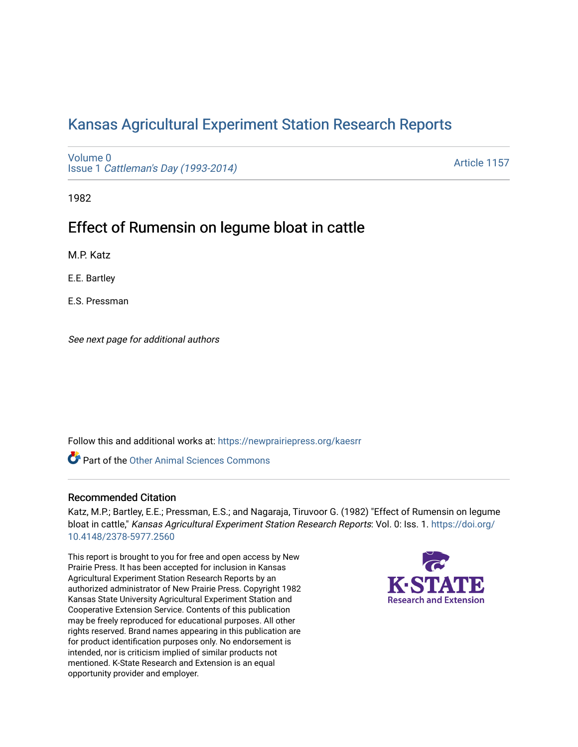# [Kansas Agricultural Experiment Station Research Reports](https://newprairiepress.org/kaesrr)

[Volume 0](https://newprairiepress.org/kaesrr/vol0) Issue 1 [Cattleman's Day \(1993-2014\)](https://newprairiepress.org/kaesrr/vol0/iss1) 

[Article 1157](https://newprairiepress.org/kaesrr/vol0/iss1/1157) 

1982

# Effect of Rumensin on legume bloat in cattle

M.P. Katz

E.E. Bartley

E.S. Pressman

See next page for additional authors

Follow this and additional works at: [https://newprairiepress.org/kaesrr](https://newprairiepress.org/kaesrr?utm_source=newprairiepress.org%2Fkaesrr%2Fvol0%2Fiss1%2F1157&utm_medium=PDF&utm_campaign=PDFCoverPages) 

Part of the [Other Animal Sciences Commons](http://network.bepress.com/hgg/discipline/82?utm_source=newprairiepress.org%2Fkaesrr%2Fvol0%2Fiss1%2F1157&utm_medium=PDF&utm_campaign=PDFCoverPages)

#### Recommended Citation

Katz, M.P.; Bartley, E.E.; Pressman, E.S.; and Nagaraja, Tiruvoor G. (1982) "Effect of Rumensin on legume bloat in cattle," Kansas Agricultural Experiment Station Research Reports: Vol. 0: Iss. 1. [https://doi.org/](https://doi.org/10.4148/2378-5977.2560) [10.4148/2378-5977.2560](https://doi.org/10.4148/2378-5977.2560)

This report is brought to you for free and open access by New Prairie Press. It has been accepted for inclusion in Kansas Agricultural Experiment Station Research Reports by an authorized administrator of New Prairie Press. Copyright 1982 Kansas State University Agricultural Experiment Station and Cooperative Extension Service. Contents of this publication may be freely reproduced for educational purposes. All other rights reserved. Brand names appearing in this publication are for product identification purposes only. No endorsement is intended, nor is criticism implied of similar products not mentioned. K-State Research and Extension is an equal opportunity provider and employer.

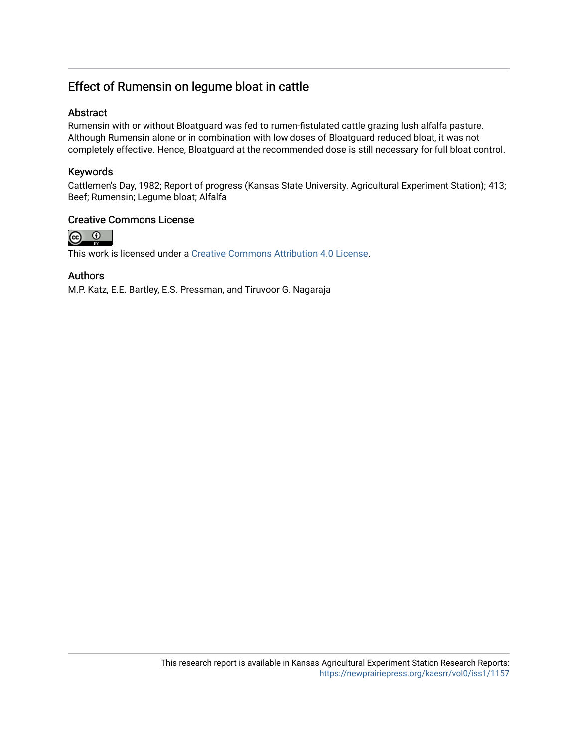## Effect of Rumensin on legume bloat in cattle

### Abstract

Rumensin with or without Bloatguard was fed to rumen-fistulated cattle grazing lush alfalfa pasture. Although Rumensin alone or in combination with low doses of Bloatguard reduced bloat, it was not completely effective. Hence, Bloatguard at the recommended dose is still necessary for full bloat control.

#### Keywords

Cattlemen's Day, 1982; Report of progress (Kansas State University. Agricultural Experiment Station); 413; Beef; Rumensin; Legume bloat; Alfalfa

#### Creative Commons License



This work is licensed under a [Creative Commons Attribution 4.0 License](https://creativecommons.org/licenses/by/4.0/).

#### Authors

M.P. Katz, E.E. Bartley, E.S. Pressman, and Tiruvoor G. Nagaraja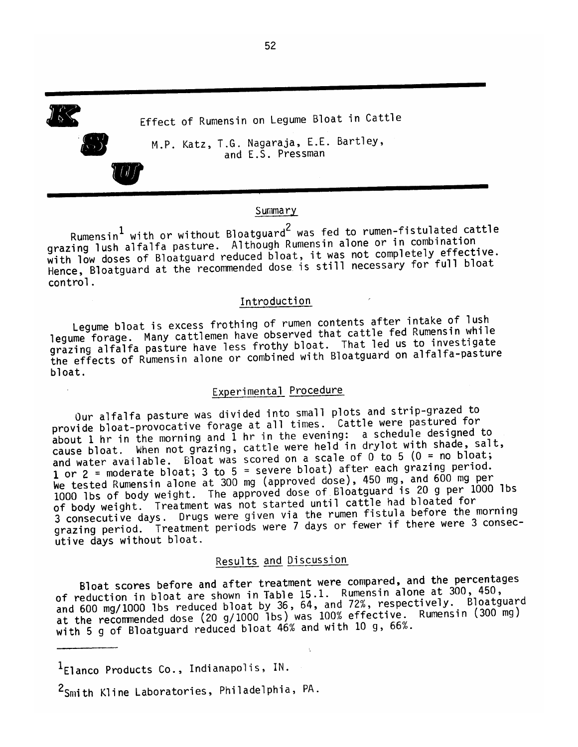Effect of Rumensin on Legume Bloat in Cattle M.P. Katz, T.G. Nagaraja, E.E. Bartley, and E.S. Pressman

#### Summary

Rumensin<sup>1</sup> with or without Bloatguard<sup>2</sup> was fed to rumen-fistulated cattle grazing lush alfalfa pasture. Although Rumensin alone or in combination with low doses of Bloatguard reduced bloat, it was not completely effective. Hence, Bloatguard at the recommended dose is still necessary for full bloat control.

#### Introduction

Legume bloat is excess frothing of rumen contents after intake of lush legume forage. Many cattlemen have observed that cattle fed Rumensin while grazing alfalfa pasture have less frothy bloat. That led us to investigate the effects of Rumensin alone or combined with Bloatguard on alfalfa-pasture bloat.

#### Experimental Procedure

Our alfalfa pasture was divided into small plots and strip-grazed to provide bloat-provocative forage at all times. Cattle were pastured for about 1 hr in the morning and 1 hr in the evening: a schedule designed to cause bloat. When not grazing, cattle were held in drylot with shade, salt, and water available. Bloat was scored on a scale of  $0$  to 5 (0 = no bloat; 1 or 2 = moderate bloat; 3 to 5 = severe bloat) after each grazing period. We tested Rumensin alone at 300 mg (approved dose), 450 mg, and 600 mg per 1000 lbs of body weight. The approved dose of Bloatguard is 20 g per 1000 lbs of body weight. Treatment was not started until cattle had bloated for 3 consecutive days. Drugs were given via the rumen fistula before the morning grazing period. Treatment periods were 7 days or fewer if there were 3 consecutive days without bloat.

### Results and Discussion

Bloat scores before and after treatment were compared, and the percentages of reduction in bloat are shown in Table 15.1. Rumensin alone at 300, 450, and 600 mg/1000 lbs reduced bloat by 36, 64, and 72%, respectively. Bloatguard at the recommended dose (20 g/1000 1bs) was 100% effective. Rumensin (300 mg) with 5 g of Bloatguard reduced bloat 46% and with 10 g, 66%.

<sup>1</sup>Elanco Products Co., Indianapolis, IN.

52

<sup>&</sup>lt;sup>2</sup>Smith Kline Laboratories, Philadelphia, PA.